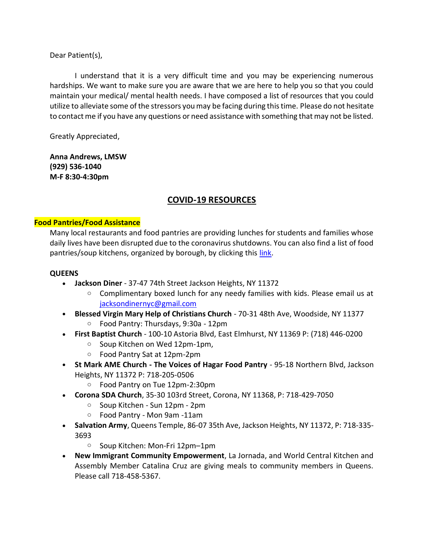Dear Patient(s),

I understand that it is a very difficult time and you may be experiencing numerous hardships. We want to make sure you are aware that we are here to help you so that you could maintain your medical/ mental health needs. I have composed a list of resources that you could utilize to alleviate some of the stressors you may be facing during this time. Please do not hesitate to contact me if you have any questions or need assistance with something that may not be listed.

Greatly Appreciated,

**Anna Andrews, LMSW (929) 536-1040 M-F 8:30-4:30pm**

# **COVID-19 RESOURCES**

### **Food Pantries/Food Assistance**

Many local restaurants and food pantries are providing lunches for students and families whose daily lives have been disrupted due to the coronavirus shutdowns. You can also find a list of food pantries/soup kitchens, organized by borough, by clicking this [link.](https://docs.google.com/spreadsheets/d/11sRdUqjlWg7gqZBNVq87Y7Hnfrf4s3fBnbANoxeWUSI/edit#gid=273331901)

#### **QUEENS**

- **Jackson Diner** 37-47 74th Street Jackson Heights, NY 11372
	- $\circ$  Complimentary boxed lunch for any needy families with kids. Please email us at [jacksondinernyc@gmail.com](mailto:jacksondinernyc@gmail.com)
- **Blessed Virgin Mary Help of Christians Church** 70-31 48th Ave, Woodside, NY 11377
	- o Food Pantry: Thursdays, 9:30a 12pm
- **First Baptist Church** 100-10 Astoria Blvd, East Elmhurst, NY 11369 P: (718) 446-0200
	- o Soup Kitchen on Wed 12pm-1pm,
	- o Food Pantry Sat at 12pm-2pm
- **St Mark AME Church - The Voices of Hagar Food Pantry** 95-18 Northern Blvd, Jackson Heights, NY 11372 P: 718-205-0506
	- o Food Pantry on Tue 12pm-2:30pm
- **Corona SDA Church**, 35-30 103rd Street, Corona, NY 11368, P: 718-429-7050
	- o Soup Kitchen Sun 12pm 2pm
	- o Food Pantry Mon 9am -11am
- **Salvation Army**, Queens Temple, 86-07 35th Ave, Jackson Heights, NY 11372, P: 718-335- 3693
	- o Soup Kitchen: Mon-Fri 12pm–1pm
- **New Immigrant Community Empowerment**, La Jornada, and World Central Kitchen and Assembly Member Catalina Cruz are giving meals to community members in Queens. Please call 718-458-5367.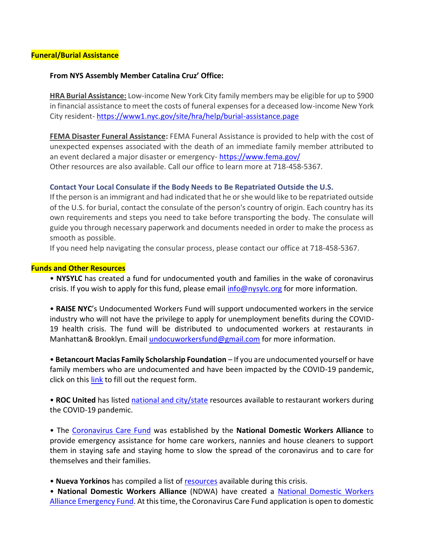### **From NYS Assembly Member Catalina Cruz' Office:**

**HRA Burial Assistance:** Low-income New York City family members may be eligible for up to \$900 in financial assistance to meet the costs of funeral expenses for a deceased low-income New York City resident- <https://www1.nyc.gov/site/hra/help/burial-assistance.page>

**FEMA Disaster Funeral Assistance:** FEMA Funeral Assistance is provided to help with the cost of unexpected expenses associated with the death of an immediate family member attributed to an event declared a major disaster or emergency- <https://www.fema.gov/> Other resources are also available. Call our office to learn more at 718-458-5367.

#### **Contact Your Local Consulate if the Body Needs to Be Repatriated Outside the U.S.**

If the person is an immigrant and had indicated that he or she would like to be repatriated outside of the U.S. for burial, contact the consulate of the person's country of origin. Each country has its own requirements and steps you need to take before transporting the body. The consulate will guide you through necessary paperwork and documents needed in order to make the process as smooth as possible.

If you need help navigating the consular process, please contact our office at 718-458-5367.

#### **Funds and Other Resources**

• **NYSYLC** has created a fund for undocumented youth and families in the wake of coronavirus crisis. If you wish to apply for this fund, please email [info@nysylc.org](mailto:info@nysylc.org) for more information.

• **RAISE NYC**'s Undocumented Workers Fund will support undocumented workers in the service industry who will not have the privilege to apply for unemployment benefits during the COVID-19 health crisis. The fund will be distributed to undocumented workers at restaurants in Manhattan& Brooklyn. Email [undocuworkersfund@gmail.com](mailto:undocuworkersfund@gmail.com) for more information.

• **Betancourt Macias Family Scholarship Foundation** – If you are undocumented yourself or have family members who are undocumented and have been impacted by the COVID-19 pandemic, click on this [link](https://www.undocuscholars.com/) to fill out the request form.

• **ROC United** has listed [national and city/state](https://rocunited.org/stop-the-spread/coronavirus-support/) resources available to restaurant workers during the COVID-19 pandemic.

• The [Coronavirus Care Fund](https://secure.actblue.com/donate/coronavirus-care-fund?refcode=covidfundfaqpage) was established by the **National Domestic Workers Alliance** to provide emergency assistance for home care workers, nannies and house cleaners to support them in staying safe and staying home to slow the spread of the coronavirus and to care for themselves and their families.

• **Nueva Yorkinos** has compiled a list of [resources](https://www.nuevayorkinos.com/noticias-espanol) available during this crisis.

• **National Domestic Workers Alliance** (NDWA) have created a [National Domestic Workers](https://www.domesticworkers.org/)  [Alliance Emergency Fund.](https://www.domesticworkers.org/) At this time, the Coronavirus Care Fund application is open to domestic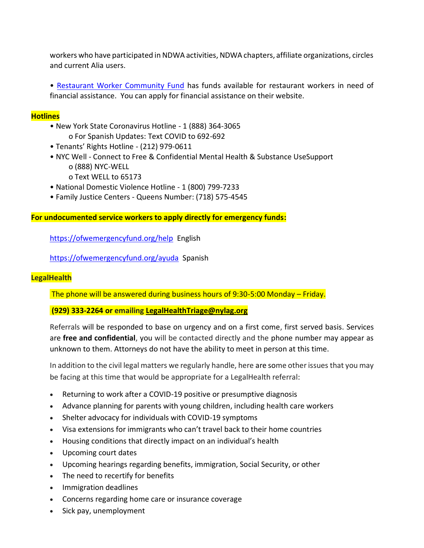workers who have participated in NDWA activities, NDWA chapters, affiliate organizations, circles and current Alia users.

• [Restaurant Worker Community Fund](https://www.restaurantworkerscf.org/) has funds available for restaurant workers in need of financial assistance. You can apply for financial assistance on their website.

### **Hotlines**

- New York State Coronavirus Hotline 1 (888) 364-3065 o For Spanish Updates: Text COVID to 692-692
- Tenants' Rights Hotline (212) 979-0611
- NYC Well Connect to Free & Confidential Mental Health & Substance UseSupport o (888) NYC-WELL
	- o Text WELL to 65173
- National Domestic Violence Hotline 1 (800) 799-7233
- Family Justice Centers Queens Number: (718) 575-4545

### **For undocumented service workers to apply directly for emergency funds:**

<https://ofwemergencyfund.org/help> English

<https://ofwemergencyfund.org/ayuda> Spanish

### **LegalHealth**

The phone will be answered during business hours of 9:30-5:00 Monday – Friday.

### **(929) 333-2264 or emailing [LegalHealthTriage@nylag.org](mailto:LegalHealthTriage@nylag.org)**

Referrals will be responded to base on urgency and on a first come, first served basis. Services are **free and confidential**, you will be contacted directly and the phone number may appear as unknown to them. Attorneys do not have the ability to meet in person at this time.

In addition to the civil legal matters we regularly handle, here are some other issues that you may be facing at this time that would be appropriate for a LegalHealth referral:

- Returning to work after a COVID-19 positive or presumptive diagnosis
- Advance planning for parents with young children, including health care workers
- Shelter advocacy for individuals with COVID-19 symptoms
- Visa extensions for immigrants who can't travel back to their home countries
- Housing conditions that directly impact on an individual's health
- Upcoming court dates
- Upcoming hearings regarding benefits, immigration, Social Security, or other
- The need to recertify for benefits
- Immigration deadlines
- Concerns regarding home care or insurance coverage
- Sick pay, unemployment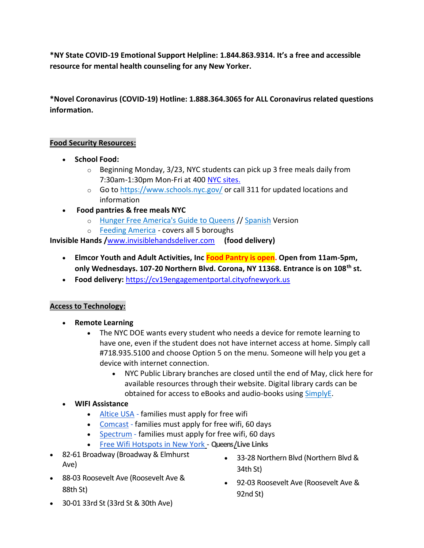**\*NY State COVID-19 Emotional Support Helpline: 1.844.863.9314. It's a free and accessible resource for mental health counseling for any New Yorker.**

**\*Novel Coronavirus (COVID-19) Hotline: 1.888.364.3065 for ALL Coronavirus related questions information.**

## **Food Security Resources:**

- **School Food:**
	- $\circ$  Beginning Monday, 3/23, NYC students can pick up 3 free meals daily from 7:30am-1:30pm Mon-Fri at 400 [NYC sites.](https://www.schools.nyc.gov/freemeals)
	- o Go to<https://www.schools.nyc.gov/> or call 311 for updated locations and information
- **Food pantries & free meals NYC** 
	- o [Hunger Free America's Guide to Queens](https://www.hungerfreeamerica.org/sites/default/files/atoms/files/Queens_English_2019.pdf) // [Spanish](https://www.hungerfreeamerica.org/sites/default/files/atoms/files/Queens_Spanish_2019.pdf) Version
	- o [Feeding America](https://www.feedingamerica.org/find-your-local-foodbank) covers all 5 boroughs

**[Invisible Hands](https://www.invisiblehandsdeliver.com/) /**[www.invisiblehandsdeliver.com](http://www.invisiblehandsdeliver.com/) **(food delivery)**

- **Elmcor Youth and Adult Activities, Inc Food Pantry is open. Open from 11am-5pm, only Wednesdays. 107-20 Northern Blvd. Corona, NY 11368. Entrance is on 108th st.**
- **Food delivery:** [https://cv19engagementportal.cityofnewyork.us](https://cv19engagementportal.cityofnewyork.us/)

## **Access to Technology:**

- **Remote Learning**
	- The NYC DOE wants every student who needs a device for remote learning to have one, even if the student does not have internet access at home. Simply call #718.935.5100 and choose Option 5 on the menu. Someone will help you get a device with internet connection.
		- NYC Public Library branches are closed until the end of May, click here for available resources through their website. Digital library cards can be obtained for access to eBooks and audio-books using [SimplyE.](https://www.nypl.org/books-music-movies/ebookcentral/simplye)

# • **WIFI Assistance**

- Altice USA [families must apply](https://www.alticeusa.com/news/articles/feature/corporate/altice-usa-brings-free-broadband-k-12-and-college-students-during-coronavirus-pandemic) for free wifi
- Comcast [families must apply](https://www.internetessentials.com/covid19) for free wifi, 60 days
- Spectrum [families must apply for free wifi,](https://cnycentral.com/news/local/spectrum-to-offer-free-internet-access-for-students-due-to-coronavirus) 60 days
- [Free Wifi Hotspots in New York](http://www.mustseenewyork.com/maps/new-york-city-free-wifi-map.html) **Queens** /**Live Links**
- 82-61 Broadway (Broadway & Elmhurst Ave)
- 33-28 Northern Blvd (Northern Blvd & 34th St)
- 88-03 Roosevelt Ave (Roosevelt Ave & 88th St)
- 92-03 Roosevelt Ave (Roosevelt Ave & 92nd St)
- 30-01 33rd St (33rd St & 30th Ave)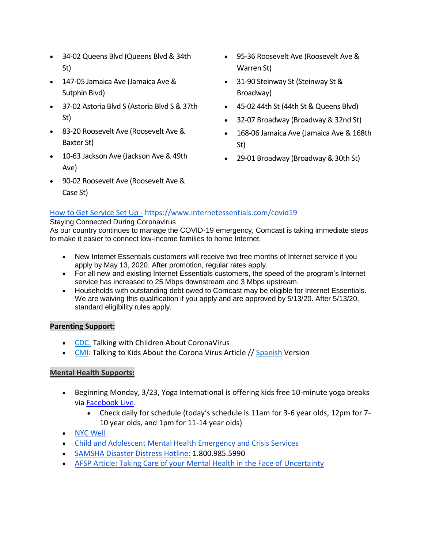- 34-02 Queens Blvd (Queens Blvd & 34th St)
- 147-05 Jamaica Ave (Jamaica Ave & Sutphin Blvd)
- 37-02 Astoria Blvd S (Astoria Blvd S & 37th St)
- 83-20 Roosevelt Ave (Roosevelt Ave & Baxter St)
- 10-63 Jackson Ave (Jackson Ave & 49th Ave)
- 90-02 Roosevelt Ave (Roosevelt Ave & Case St)
- 95-36 Roosevelt Ave (Roosevelt Ave & Warren St)
- 31-90 Steinway St (Steinway St & Broadway)
- 45-02 44th St (44th St & Queens Blvd)
- 32-07 Broadway (Broadway & 32nd St)
- 168-06 Jamaica Ave (Jamaica Ave & 168th St)
- 29-01 Broadway (Broadway & 30th St)

# [How to Get Service Set Up](https://www.internetessentials.com/covid19) - https://www.internetessentials.com/covid19

#### Staying Connected During Coronavirus

As our country continues to manage the COVID-19 emergency, Comcast is taking immediate steps to make it easier to connect low-income families to home Internet.

- New Internet Essentials customers will receive two free months of Internet service if you apply by May 13, 2020. After promotion, regular rates apply.
- For all new and existing Internet Essentials customers, the speed of the program's Internet service has increased to 25 Mbps downstream and 3 Mbps upstream.
- Households with outstanding debt owed to Comcast may be eligible for Internet Essentials. We are waiving this qualification if you apply and are approved by 5/13/20. After 5/13/20, standard eligibility rules apply.

### **Parenting Support:**

- [CDC:](https://www.cdc.gov/coronavirus/2019-ncov/community/schools-childcare/talking-with-children.html) Talking with Children About CoronaVirus
- [CMI:](https://childmind.org/article/talking-to-kids-about-the-coronavirus/) Talking to Kids About the Corona Virus Article // [Spanish](https://childmind.org/article/como-hablar-con-los-ninos-sobre-el-coronavirus/) Version

## **Mental Health Supports:**

- Beginning Monday, 3/23, Yoga International is offering kids free 10-minute yoga breaks via Facebook Live.
	- Check daily for schedule (today's schedule is 11am for 3-6 year olds, 12pm for 7- 10 year olds, and 1pm for 11-14 year olds)
- [NYC Well](https://nycwell.cityofnewyork.us/en/)
- [Child and Adolescent Mental Health Emergency and Crisis Services](https://www1.nyc.gov/site/doh/health/health-topics/child-and-adolescent-mental-health-emergency-crisis.page)
- [SAMSHA Disaster Distress Hotline:](https://www.samhsa.gov/find-help/disaster-distress-helpline) 1.800.985.5990
- [AFSP Article: Taking Care of your Mental Health in the Face of Uncertainty](https://afsp.org/taking-care-of-your-mental-health-in-the-face-of-uncertainty/)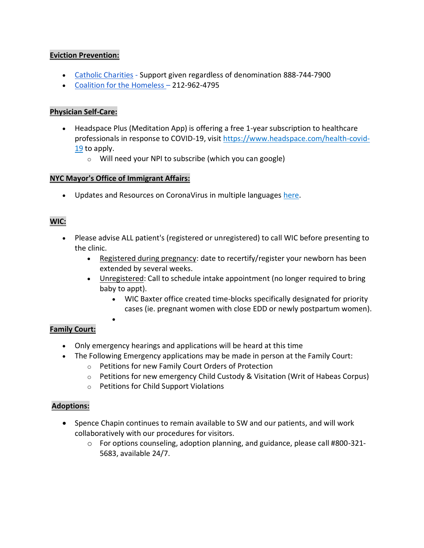## **Eviction Prevention:**

- [Catholic Charities](https://catholiccharitiesny.org/find-help/need-help-housing) Support given regardless of denomination 888-744-7900
- [Coalition for the Homeless](https://www.coalitionforthehomeless.org/resource-guide/) 212-962-4795

## **Physician Self-Care:**

- Headspace Plus (Meditation App) is offering a free 1-year subscription to healthcare professionals in response to COVID-19, visit [https://www.headspace.com/health-covid-](https://www.headspace.com/health-covid-19)[19](https://www.headspace.com/health-covid-19) to apply.
	- o Will need your NPI to subscribe (which you can google)

## **NYC Mayor's Office of Immigrant Affairs:**

•

• Updates and Resources on CoronaVirus in multiple languages [here.](https://www1.nyc.gov/site/doh/health/health-topics/coronavirus.page)

## **WIC:**

- Please advise ALL patient's (registered or unregistered) to call WIC before presenting to the clinic.
	- Registered during pregnancy: date to recertify/register your newborn has been extended by several weeks.
	- Unregistered: Call to schedule intake appointment (no longer required to bring baby to appt).
		- WIC Baxter office created time-blocks specifically designated for priority cases (ie. pregnant women with close EDD or newly postpartum women).

## **Family Court:**

- Only emergency hearings and applications will be heard at this time
- The Following Emergency applications may be made in person at the Family Court:
	- o Petitions for new Family Court Orders of Protection
	- o Petitions for new emergency Child Custody & Visitation (Writ of Habeas Corpus)
	- o Petitions for Child Support Violations

## **Adoptions:**

- Spence Chapin continues to remain available to SW and our patients, and will work collaboratively with our procedures for visitors.
	- $\circ$  For options counseling, adoption planning, and guidance, please call #800-321-5683, available 24/7.